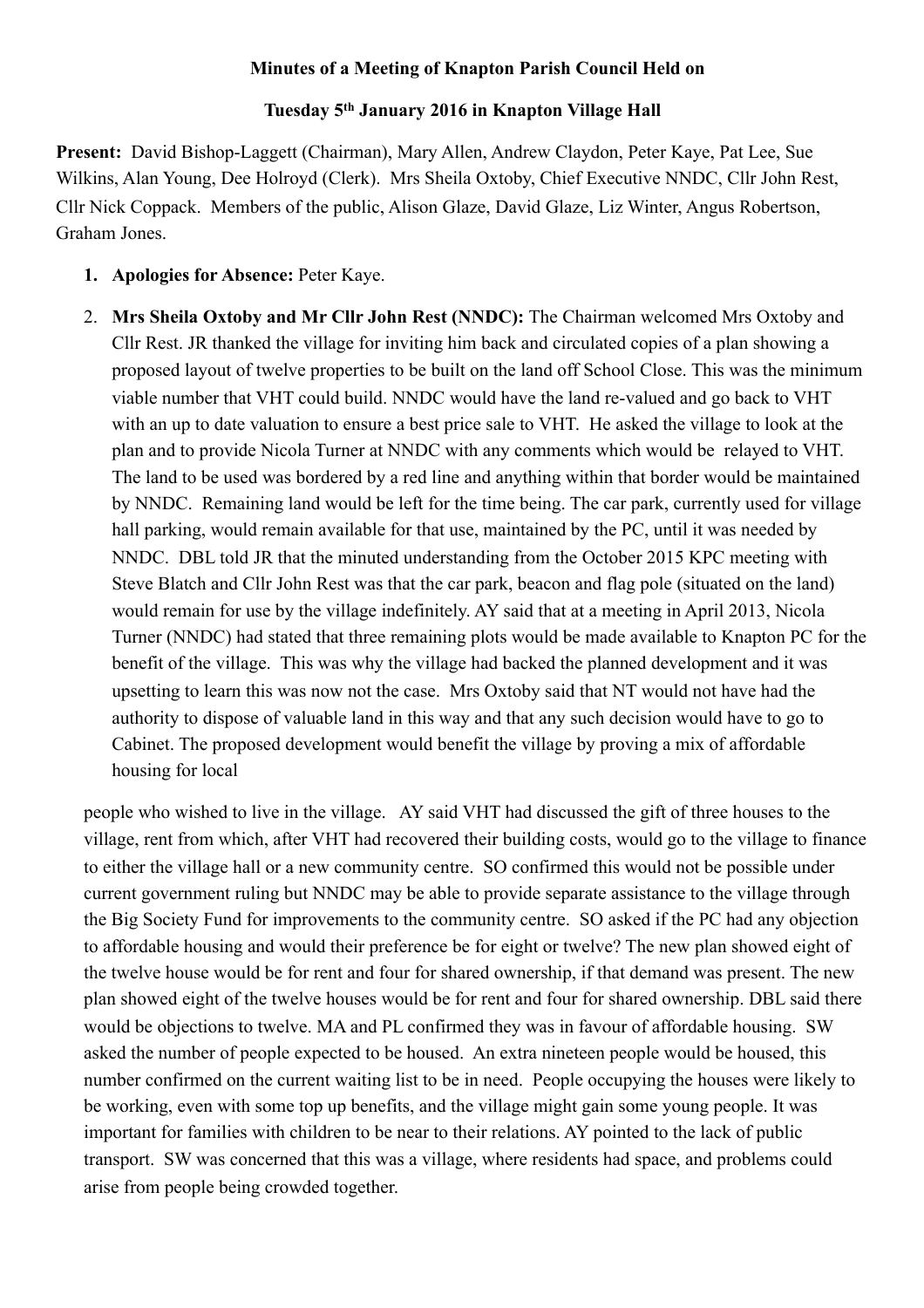## **Minutes of a Meeting of Knapton Parish Council Held on**

## **Tuesday 5th January 2016 in Knapton Village Hall**

**Present:** David Bishop-Laggett (Chairman), Mary Allen, Andrew Claydon, Peter Kaye, Pat Lee, Sue Wilkins, Alan Young, Dee Holroyd (Clerk). Mrs Sheila Oxtoby, Chief Executive NNDC, Cllr John Rest, Cllr Nick Coppack. Members of the public, Alison Glaze, David Glaze, Liz Winter, Angus Robertson, Graham Jones.

- **1. Apologies for Absence:** Peter Kaye.
- 2. **Mrs Sheila Oxtoby and Mr Cllr John Rest (NNDC):** The Chairman welcomed Mrs Oxtoby and Cllr Rest. JR thanked the village for inviting him back and circulated copies of a plan showing a proposed layout of twelve properties to be built on the land off School Close. This was the minimum viable number that VHT could build. NNDC would have the land re-valued and go back to VHT with an up to date valuation to ensure a best price sale to VHT. He asked the village to look at the plan and to provide Nicola Turner at NNDC with any comments which would be relayed to VHT. The land to be used was bordered by a red line and anything within that border would be maintained by NNDC. Remaining land would be left for the time being. The car park, currently used for village hall parking, would remain available for that use, maintained by the PC, until it was needed by NNDC. DBL told JR that the minuted understanding from the October 2015 KPC meeting with Steve Blatch and Cllr John Rest was that the car park, beacon and flag pole (situated on the land) would remain for use by the village indefinitely. AY said that at a meeting in April 2013, Nicola Turner (NNDC) had stated that three remaining plots would be made available to Knapton PC for the benefit of the village. This was why the village had backed the planned development and it was upsetting to learn this was now not the case. Mrs Oxtoby said that NT would not have had the authority to dispose of valuable land in this way and that any such decision would have to go to Cabinet. The proposed development would benefit the village by proving a mix of affordable housing for local

people who wished to live in the village. AY said VHT had discussed the gift of three houses to the village, rent from which, after VHT had recovered their building costs, would go to the village to finance to either the village hall or a new community centre. SO confirmed this would not be possible under current government ruling but NNDC may be able to provide separate assistance to the village through the Big Society Fund for improvements to the community centre. SO asked if the PC had any objection to affordable housing and would their preference be for eight or twelve? The new plan showed eight of the twelve house would be for rent and four for shared ownership, if that demand was present. The new plan showed eight of the twelve houses would be for rent and four for shared ownership. DBL said there would be objections to twelve. MA and PL confirmed they was in favour of affordable housing. SW asked the number of people expected to be housed. An extra nineteen people would be housed, this number confirmed on the current waiting list to be in need. People occupying the houses were likely to be working, even with some top up benefits, and the village might gain some young people. It was important for families with children to be near to their relations. AY pointed to the lack of public transport. SW was concerned that this was a village, where residents had space, and problems could arise from people being crowded together.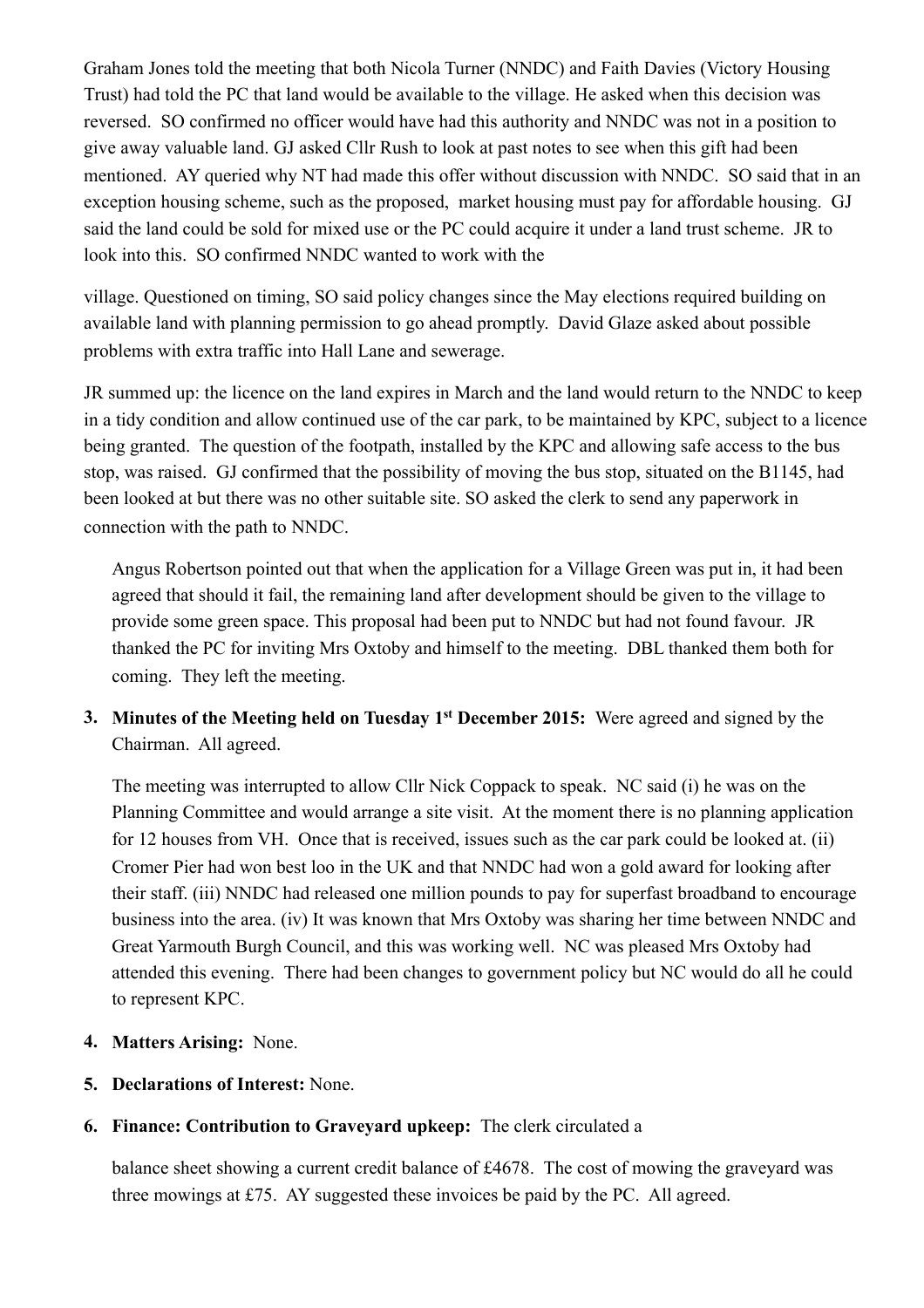Graham Jones told the meeting that both Nicola Turner (NNDC) and Faith Davies (Victory Housing Trust) had told the PC that land would be available to the village. He asked when this decision was reversed. SO confirmed no officer would have had this authority and NNDC was not in a position to give away valuable land. GJ asked Cllr Rush to look at past notes to see when this gift had been mentioned. AY queried why NT had made this offer without discussion with NNDC. SO said that in an exception housing scheme, such as the proposed, market housing must pay for affordable housing. GJ said the land could be sold for mixed use or the PC could acquire it under a land trust scheme. JR to look into this. SO confirmed NNDC wanted to work with the

village. Questioned on timing, SO said policy changes since the May elections required building on available land with planning permission to go ahead promptly. David Glaze asked about possible problems with extra traffic into Hall Lane and sewerage.

JR summed up: the licence on the land expires in March and the land would return to the NNDC to keep in a tidy condition and allow continued use of the car park, to be maintained by KPC, subject to a licence being granted. The question of the footpath, installed by the KPC and allowing safe access to the bus stop, was raised. GJ confirmed that the possibility of moving the bus stop, situated on the B1145, had been looked at but there was no other suitable site. SO asked the clerk to send any paperwork in connection with the path to NNDC.

Angus Robertson pointed out that when the application for a Village Green was put in, it had been agreed that should it fail, the remaining land after development should be given to the village to provide some green space. This proposal had been put to NNDC but had not found favour. JR thanked the PC for inviting Mrs Oxtoby and himself to the meeting. DBL thanked them both for coming. They left the meeting.

**3. Minutes of the Meeting held on Tuesday 1st December 2015:** Were agreed and signed by the Chairman. All agreed.

The meeting was interrupted to allow Cllr Nick Coppack to speak. NC said (i) he was on the Planning Committee and would arrange a site visit. At the moment there is no planning application for 12 houses from VH. Once that is received, issues such as the car park could be looked at. (ii) Cromer Pier had won best loo in the UK and that NNDC had won a gold award for looking after their staff. (iii) NNDC had released one million pounds to pay for superfast broadband to encourage business into the area. (iv) It was known that Mrs Oxtoby was sharing her time between NNDC and Great Yarmouth Burgh Council, and this was working well. NC was pleased Mrs Oxtoby had attended this evening. There had been changes to government policy but NC would do all he could to represent KPC.

- **4. Matters Arising:** None.
- **5. Declarations of Interest:** None.
- **6. Finance: Contribution to Graveyard upkeep:** The clerk circulated a

balance sheet showing a current credit balance of £4678. The cost of mowing the graveyard was three mowings at £75. AY suggested these invoices be paid by the PC. All agreed.